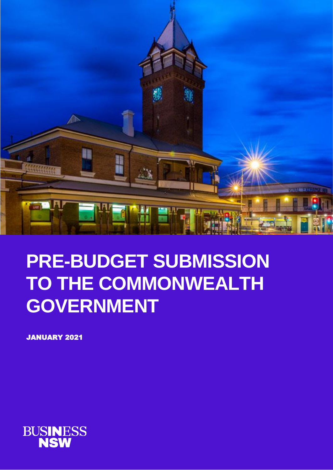

# **PRE-BUDGET SUBMISSION TO THE COMMONWEALTH GOVERNMENT**

JANUARY 2021

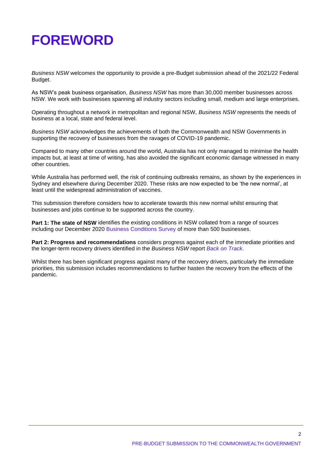# **FOREWORD**

*Business NSW* welcomes the opportunity to provide a pre-Budget submission ahead of the 2021/22 Federal Budget.

As NSW's peak business organisation, *Business NSW* has more than 30,000 member businesses across NSW. We work with businesses spanning all industry sectors including small, medium and large enterprises.

Operating throughout a network in metropolitan and regional NSW, *Business NSW* represents the needs of business at a local, state and federal level.

*Business NSW* acknowledges the achievements of both the Commonwealth and NSW Governments in supporting the recovery of businesses from the ravages of COVID-19 pandemic.

Compared to many other countries around the world, Australia has not only managed to minimise the health impacts but, at least at time of writing, has also avoided the significant economic damage witnessed in many other countries.

While Australia has performed well, the risk of continuing outbreaks remains, as shown by the experiences in Sydney and elsewhere during December 2020. These risks are now expected to be 'the new normal', at least until the widespread administration of vaccines.

This submission therefore considers how to accelerate towards this new normal whilst ensuring that businesses and jobs continue to be supported across the country.

**Part 1: The state of NSW** identifies the existing conditions in NSW collated from a range of sources including our December 2020 [Business Conditions Survey](https://www.businessnsw.com/advocacy/surveys/business-surveys/nsw-business-conditions-report-december-2020) of more than 500 businesses.

**Part 2: Progress and recommendations** considers progress against each of the immediate priorities and the longer-term recovery drivers identified in the *Business NSW* report *[Back on Track](https://www.businessnsw.com/content/dam/nswbc/businessnsw/pdf/Back%20on%20track%20-%20July%202020.pdf)*.

Whilst there has been significant progress against many of the recovery drivers, particularly the immediate priorities, this submission includes recommendations to further hasten the recovery from the effects of the pandemic.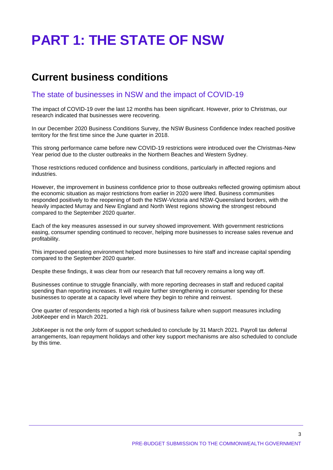# **PART 1: THE STATE OF NSW**

### **Current business conditions**

### The state of businesses in NSW and the impact of COVID-19

The impact of COVID-19 over the last 12 months has been significant. However, prior to Christmas, our research indicated that businesses were recovering.

In our December 2020 Business Conditions Survey, the NSW Business Confidence Index reached positive territory for the first time since the June quarter in 2018.

This strong performance came before new COVID-19 restrictions were introduced over the Christmas-New Year period due to the cluster outbreaks in the Northern Beaches and Western Sydney.

Those restrictions reduced confidence and business conditions, particularly in affected regions and industries.

However, the improvement in business confidence prior to those outbreaks reflected growing optimism about the economic situation as major restrictions from earlier in 2020 were lifted. Business communities responded positively to the reopening of both the NSW-Victoria and NSW-Queensland borders, with the heavily impacted Murray and New England and North West regions showing the strongest rebound compared to the September 2020 quarter.

Each of the key measures assessed in our survey showed improvement. With government restrictions easing, consumer spending continued to recover, helping more businesses to increase sales revenue and profitability.

This improved operating environment helped more businesses to hire staff and increase capital spending compared to the September 2020 quarter.

Despite these findings, it was clear from our research that full recovery remains a long way off.

Businesses continue to struggle financially, with more reporting decreases in staff and reduced capital spending than reporting increases. It will require further strengthening in consumer spending for these businesses to operate at a capacity level where they begin to rehire and reinvest.

One quarter of respondents reported a high risk of business failure when support measures including JobKeeper end in March 2021.

JobKeeper is not the only form of support scheduled to conclude by 31 March 2021. Payroll tax deferral arrangements, loan repayment holidays and other key support mechanisms are also scheduled to conclude by this time.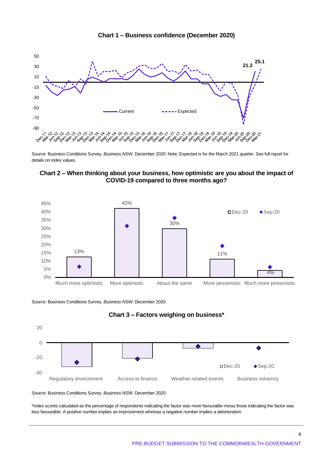



Source: Business Conditions Survey, *Business NSW*, December 2020. Note: Expected is for the March 2021 quarter. See full report for details on index values.





Source: Business Conditions Survey, *Business NSW*, December 2020.





Source: Business Conditions Survey, *Business NSW*, December 2020.

\*Index scores calculated as the percentage of respondents indicating the factor was more favourable minus those indicating the factor was less favourable. A positive number implies an improvement whereas a negative number implies a deterioration.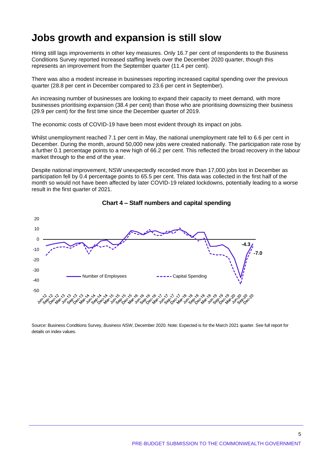## **Jobs growth and expansion is still slow**

Hiring still lags improvements in other key measures. Only 16.7 per cent of respondents to the Business Conditions Survey reported increased staffing levels over the December 2020 quarter, though this represents an improvement from the September quarter (11.4 per cent).

There was also a modest increase in businesses reporting increased capital spending over the previous quarter (28.8 per cent in December compared to 23.6 per cent in September).

An increasing number of businesses are looking to expand their capacity to meet demand, with more businesses prioritising expansion (38.4 per cent) than those who are prioritising downsizing their business (29.9 per cent) for the first time since the December quarter of 2019.

The economic costs of COVID-19 have been most evident through its impact on jobs.

Whilst unemployment reached 7.1 per cent in May, the national unemployment rate fell to 6.6 per cent in December. During the month, around 50,000 new jobs were created nationally. The participation rate rose by a further 0.1 percentage points to a new high of 66.2 per cent. This reflected the broad recovery in the labour market through to the end of the year.

Despite national improvement, NSW unexpectedly recorded more than 17,000 jobs lost in December as participation fell by 0.4 percentage points to 65.5 per cent. This data was collected in the first half of the month so would not have been affected by later COVID-19 related lockdowns, potentially leading to a worse result in the first quarter of 2021.



#### **Chart 4 – Staff numbers and capital spending**

Source: Business Conditions Survey, *Business NSW*, December 2020. Note: Expected is for the March 2021 quarter. See full report for details on index values.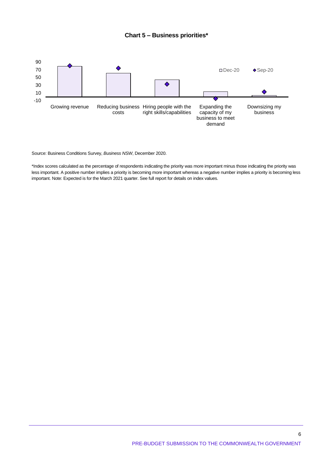#### **Chart 5 – Business priorities\***



Source: Business Conditions Survey, *Business NSW*, December 2020.

\*Index scores calculated as the percentage of respondents indicating the priority was more important minus those indicating the priority was less important. A positive number implies a priority is becoming more important whereas a negative number implies a priority is becoming less important. Note: Expected is for the March 2021 quarter. See full report for details on index values.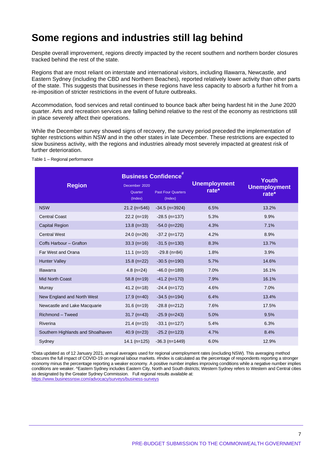# **Some regions and industries still lag behind**

Despite overall improvement, regions directly impacted by the recent southern and northern border closures tracked behind the rest of the state.

Regions that are most reliant on interstate and international visitors, including Illawarra, Newcastle, and Eastern Sydney (including the CBD and Northern Beaches), reported relatively lower activity than other parts of the state. This suggests that businesses in these regions have less capacity to absorb a further hit from a re-imposition of stricter restrictions in the event of future outbreaks.

Accommodation, food services and retail continued to bounce back after being hardest hit in the June 2020 quarter. Arts and recreation services are falling behind relative to the rest of the economy as restrictions still in place severely affect their operations.

While the December survey showed signs of recovery, the survey period preceded the implementation of tighter restrictions within NSW and in the other states in late December. These restrictions are expected to slow business activity, with the regions and industries already most severely impacted at greatest risk of further deterioration.

| <b>Region</b>                     | December 2020<br>Quarter<br>(Index) | <b>Business Confidence</b><br><b>Past Four Quarters</b><br>(Index) | <b>Unemployment</b><br>rate $*$ | Youth<br><b>Unemployment</b><br>rate $*$ |
|-----------------------------------|-------------------------------------|--------------------------------------------------------------------|---------------------------------|------------------------------------------|
| <b>NSW</b>                        | $21.2$ (n=546)                      | $-34.5$ (n=3924)                                                   | 6.5%                            | 13.2%                                    |
| <b>Central Coast</b>              | $22.2(n=19)$                        | $-28.5$ (n=137)                                                    | 5.3%                            | 9.9%                                     |
| <b>Capital Region</b>             | $13.8$ (n=33)                       | $-54.0$ (n=226)                                                    | 4.3%                            | 7.1%                                     |
| <b>Central West</b>               | $24.0(n=26)$                        | $-37.2$ (n=172)                                                    | 4.2%                            | 8.9%                                     |
| Coffs Harbour - Grafton           | $33.3(n=16)$                        | $-31.5$ (n=130)                                                    | 8.3%                            | 13.7%                                    |
| Far West and Orana                | $11.1(n=10)$                        | $-29.8$ (n=84)                                                     | 1.8%                            | 3.9%                                     |
| <b>Hunter Valley</b>              | $15.8$ (n=22)                       | $-30.5$ (n=190)                                                    | 5.7%                            | 14.6%                                    |
| <b>Illawarra</b>                  | $4.8(n=24)$                         | $-46.0$ (n=189)                                                    | 7.0%                            | 16.1%                                    |
| <b>Mid North Coast</b>            | $58.8$ (n=19)                       | $-41.2$ (n=170)                                                    | 7.9%                            | 16.1%                                    |
| Murray                            | $41.2(n=18)$                        | $-24.4$ (n=172)                                                    | 4.6%                            | 7.0%                                     |
| New England and North West        | $17.9$ (n=40)                       | $-34.5$ (n=194)                                                    | 6.4%                            | 13.4%                                    |
| Newcastle and Lake Macquarie      | $31.6$ (n=19)                       | $-28.8$ (n=212)                                                    | 7.6%                            | 17.5%                                    |
| Richmond - Tweed                  | $31.7$ (n=43)                       | $-25.9$ (n=243)                                                    | 5.0%                            | 9.5%                                     |
| Riverina                          | $21.4(n=15)$                        | $-33.1$ (n=127)                                                    | 5.4%                            | 6.3%                                     |
| Southern Highlands and Shoalhaven | $40.9$ (n=23)                       | $-25.2$ (n=123)                                                    | 4.7%                            | 8.4%                                     |
| Sydney                            | $14.1$ (n=125)                      | $-36.3$ (n=1449)                                                   | 6.0%                            | 12.9%                                    |

Table 1 – Regional performance

\*Data updated as of 12 January 2021, annual averages used for regional unemployment rates (excluding NSW). This averaging method obscures the full impact of COVID-19 on regional labour markets. #Index is calculated as the percentage of respondents reporting a stronger economy minus the percentage reporting a weaker economy. A positive number implies improving conditions while a negative number implies conditions are weaker. ^Eastern Sydney includes Eastern City, North and South districts; Western Sydney refers to Western and Central cities as designated by the Greater Sydney Commission. Full regional results available at: <https://www.businessnsw.com/advocacy/surveys/business-surveys>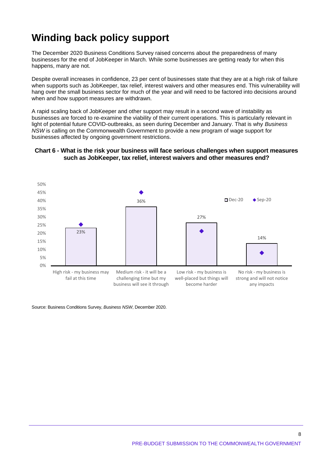# **Winding back policy support**

The December 2020 Business Conditions Survey raised concerns about the preparedness of many businesses for the end of JobKeeper in March. While some businesses are getting ready for when this happens, many are not.

Despite overall increases in confidence, 23 per cent of businesses state that they are at a high risk of failure when supports such as JobKeeper, tax relief, interest waivers and other measures end. This vulnerability will hang over the small business sector for much of the year and will need to be factored into decisions around when and how support measures are withdrawn.

A rapid scaling back of JobKeeper and other support may result in a second wave of instability as businesses are forced to re-examine the viability of their current operations. This is particularly relevant in light of potential future COVID-outbreaks, as seen during December and January. That is why *Business NSW* is calling on the Commonwealth Government to provide a new program of wage support for businesses affected by ongoing government restrictions.

#### **Chart 6 - What is the risk your business will face serious challenges when support measures such as JobKeeper, tax relief, interest waivers and other measures end?**



Source: Business Conditions Survey, *Business NSW*, December 2020.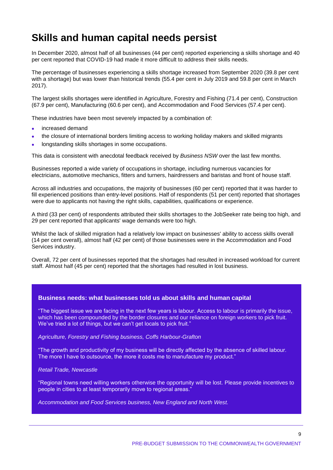# **Skills and human capital needs persist**

In December 2020, almost half of all businesses (44 per cent) reported experiencing a skills shortage and 40 per cent reported that COVID-19 had made it more difficult to address their skills needs.

The percentage of businesses experiencing a skills shortage increased from September 2020 (39.8 per cent with a shortage) but was lower than historical trends (55.4 per cent in July 2019 and 59.8 per cent in March 2017).

The largest skills shortages were identified in Agriculture, Forestry and Fishing (71.4 per cent), Construction (67.9 per cent), Manufacturing (60.6 per cent), and Accommodation and Food Services (57.4 per cent).

These industries have been most severely impacted by a combination of:

- increased demand
- the closure of international borders limiting access to working holiday makers and skilled migrants
- longstanding skills shortages in some occupations.

This data is consistent with anecdotal feedback received by *Business NSW* over the last few months.

Businesses reported a wide variety of occupations in shortage, including numerous vacancies for electricians, automotive mechanics, fitters and turners, hairdressers and baristas and front of house staff.

Across all industries and occupations, the majority of businesses (60 per cent) reported that it was harder to fill experienced positions than entry-level positions. Half of respondents (51 per cent) reported that shortages were due to applicants not having the right skills, capabilities, qualifications or experience.

A third (33 per cent) of respondents attributed their skills shortages to the JobSeeker rate being too high, and 29 per cent reported that applicants' wage demands were too high.

Whilst the lack of skilled migration had a relatively low impact on businesses' ability to access skills overall (14 per cent overall), almost half (42 per cent) of those businesses were in the Accommodation and Food Services industry.

Overall, 72 per cent of businesses reported that the shortages had resulted in increased workload for current staff. Almost half (45 per cent) reported that the shortages had resulted in lost business.

#### **Business needs: what businesses told us about skills and human capital**

"The biggest issue we are facing in the next few years is labour. Access to labour is primarily the issue, which has been compounded by the border closures and our reliance on foreign workers to pick fruit. We've tried a lot of things, but we can't get locals to pick fruit."

#### *Agriculture, Forestry and Fishing business, Coffs Harbour-Grafton*

"The growth and productivity of my business will be directly affected by the absence of skilled labour. The more I have to outsource, the more it costs me to manufacture my product."

#### *Retail Trade, Newcastle*

"Regional towns need willing workers otherwise the opportunity will be lost. Please provide incentives to people in cities to at least temporarily move to regional areas."

*Accommodation and Food Services business, New England and North West.*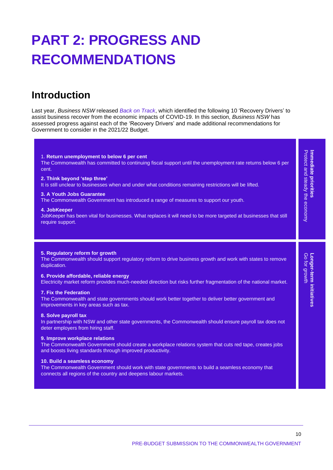# **PART 2: PROGRESS AND RECOMMENDATIONS**

# **Introduction**

Last year, *Business NSW* released *[Back on Track](https://www.businessnsw.com/content/dam/nswbc/businessnsw/pdf/Back%20on%20track%20-%20July%202020.pdf)*, which identified the following 10 'Recovery Drivers' to assist business recover from the economic impacts of COVID-19. In this section, *Business NSW* has assessed progress against each of the 'Recovery Drivers' and made additional recommendations for Government to consider in the 2021/22 Budget.

| 1. Return unemployment to below 6 per cent<br>The Commonwealth has committed to continuing fiscal support until the unemployment rate returns below 6 per<br>cent.<br>2. Think beyond 'step three'<br>It is still unclear to businesses when and under what conditions remaining restrictions will be lifted.<br>3. A Youth Jobs Guarantee<br>The Commonwealth Government has introduced a range of measures to support our youth.<br>4. JobKeeper<br>JobKeeper has been vital for businesses. What replaces it will need to be more targeted at businesses that still<br>require support.                                                                                                                                                                                                                                                                                                                                                                                                                                                                                                      | Protect and steady the economy<br><b>Immediate priorities</b> |
|-------------------------------------------------------------------------------------------------------------------------------------------------------------------------------------------------------------------------------------------------------------------------------------------------------------------------------------------------------------------------------------------------------------------------------------------------------------------------------------------------------------------------------------------------------------------------------------------------------------------------------------------------------------------------------------------------------------------------------------------------------------------------------------------------------------------------------------------------------------------------------------------------------------------------------------------------------------------------------------------------------------------------------------------------------------------------------------------------|---------------------------------------------------------------|
| 5. Regulatory reform for growth<br>The Commonwealth should support regulatory reform to drive business growth and work with states to remove<br>duplication.<br>6. Provide affordable, reliable energy<br>Electricity market reform provides much-needed direction but risks further fragmentation of the national market.<br>7. Fix the Federation<br>The Commonwealth and state governments should work better together to deliver better government and<br>improvements in key areas such as tax.<br>8. Solve payroll tax<br>In partnership with NSW and other state governments, the Commonwealth should ensure payroll tax does not<br>deter employers from hiring staff.<br>9. Improve workplace relations<br>The Commonwealth Government should create a workplace relations system that cuts red tape, creates jobs<br>and boosts living standards through improved productivity.<br>10. Build a seamless economy<br>The Commonwealth Government should work with state governments to build a seamless economy that<br>connects all regions of the country and deepens labour markets. | <b>Longer-term initiatives</b><br>Go for growth               |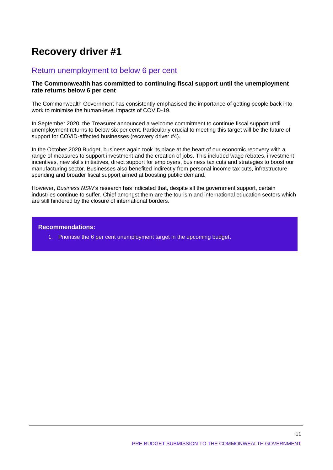### Return unemployment to below 6 per cent

#### **The Commonwealth has committed to continuing fiscal support until the unemployment rate returns below 6 per cent**

The Commonwealth Government has consistently emphasised the importance of getting people back into work to minimise the human-level impacts of COVID-19.

In September 2020, the Treasurer announced a welcome commitment to continue fiscal support until unemployment returns to below six per cent. Particularly crucial to meeting this target will be the future of support for COVID-affected businesses (recovery driver #4).

In the October 2020 Budget, business again took its place at the heart of our economic recovery with a range of measures to support investment and the creation of jobs. This included wage rebates, investment incentives, new skills initiatives, direct support for employers, business tax cuts and strategies to boost our manufacturing sector. Businesses also benefited indirectly from personal income tax cuts, infrastructure spending and broader fiscal support aimed at boosting public demand.

However, *Business NSW*'s research has indicated that, despite all the government support, certain industries continue to suffer. Chief amongst them are the tourism and international education sectors which are still hindered by the closure of international borders.

#### **Recommendations:**

1. Prioritise the 6 per cent unemployment target in the upcoming budget.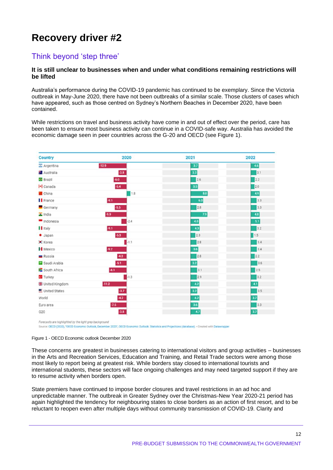### Think beyond 'step three'

#### **It is still unclear to businesses when and under what conditions remaining restrictions will be lifted**

Australia's performance during the COVID-19 pandemic has continued to be exemplary. Since the Victoria outbreak in May-June 2020, there have not been outbreaks of a similar scale. Those clusters of cases which have appeared, such as those centred on Sydney's Northern Beaches in December 2020, have been contained.

While restrictions on travel and business activity have come in and out of effect over the period, care has been taken to ensure most business activity can continue in a COVID-safe way. Australia has avoided the economic damage seen in peer countries across the G-20 and OECD (see Figure 1).



Source: OECD (2020), "OECD Economic Outlook, December 2020", OECD Economic Outlook: Statistics and Projections (database). - Created with Datav

Figure 1 - OECD Economic outlook December 2020

These concerns are greatest in businesses catering to international visitors and group activities – businesses in the Arts and Recreation Services, Education and Training, and Retail Trade sectors were among those most likely to report being at greatest risk. While borders stay closed to international tourists and international students, these sectors will face ongoing challenges and may need targeted support if they are to resume activity when borders open.

State premiers have continued to impose border closures and travel restrictions in an ad hoc and unpredictable manner. The outbreak in Greater Sydney over the Christmas-New Year 2020-21 period has again highlighted the tendency for neighbouring states to close borders as an action of first resort, and to be reluctant to reopen even after multiple days without community transmission of COVID-19. Clarity and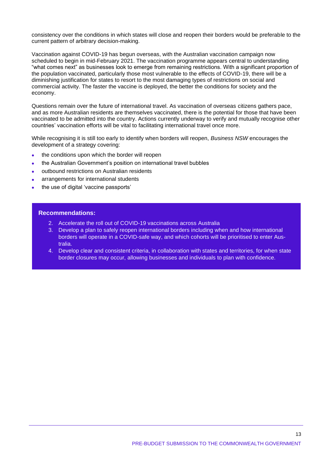consistency over the conditions in which states will close and reopen their borders would be preferable to the current pattern of arbitrary decision-making.

Vaccination against COVID-19 has begun overseas, with the Australian vaccination campaign now scheduled to begin in mid-February 2021. The vaccination programme appears central to understanding "what comes next" as businesses look to emerge from remaining restrictions. With a significant proportion of the population vaccinated, particularly those most vulnerable to the effects of COVID-19, there will be a diminishing justification for states to resort to the most damaging types of restrictions on social and commercial activity. The faster the vaccine is deployed, the better the conditions for society and the economy.

Questions remain over the future of international travel. As vaccination of overseas citizens gathers pace, and as more Australian residents are themselves vaccinated, there is the potential for those that have been vaccinated to be admitted into the country. Actions currently underway to verify and mutually recognise other countries' vaccination efforts will be vital to facilitating international travel once more.

While recognising it is still too early to identify when borders will reopen, *Business NSW* encourages the development of a strategy covering:

- the conditions upon which the border will reopen
- the Australian Government's position on international travel bubbles
- outbound restrictions on Australian residents
- arrangements for international students
- the use of digital 'vaccine passports'

#### **Recommendations:**

- 2. Accelerate the roll out of COVID-19 vaccinations across Australia
- 3. Develop a plan to safely reopen international borders including when and how international borders will operate in a COVID-safe way, and which cohorts will be prioritised to enter Australia.
- 4. Develop clear and consistent criteria, in collaboration with states and territories, for when state border closures may occur, allowing businesses and individuals to plan with confidence.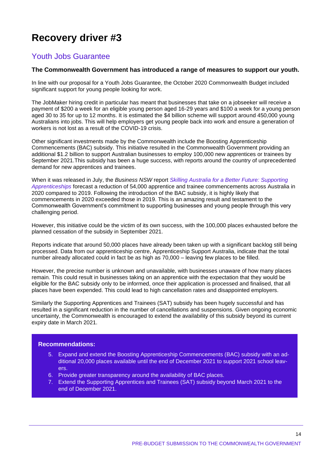### Youth Jobs Guarantee

#### **The Commonwealth Government has introduced a range of measures to support our youth.**

In line with our proposal for a Youth Jobs Guarantee, the October 2020 Commonwealth Budget included significant support for young people looking for work.

The JobMaker hiring credit in particular has meant that businesses that take on a jobseeker will receive a payment of \$200 a week for an eligible young person aged 16-29 years and \$100 a week for a young person aged 30 to 35 for up to 12 months. It is estimated the \$4 billion scheme will support around 450,000 young Australians into jobs. This will help employers get young people back into work and ensure a generation of workers is not lost as a result of the COVID-19 crisis.

Other significant investments made by the Commonwealth include the Boosting Apprenticeship Commencements (BAC) subsidy. This initiative resulted in the Commonwealth Government providing an additional \$1.2 billion to support Australian businesses to employ 100,000 new apprentices or trainees by September 2021.This subsidy has been a huge success, with reports around the country of unprecedented demand for new apprentices and trainees.

When it was released in July, the *Business NSW* report *[Skilling Australia for a Better Future: Supporting](https://www.businessnsw.com/content/dam/nswbc/businessnsw/pdf/Skilling%20Australia%20report%20-%20Business%20NSW%20-%20200708.pdf)  [Apprenticeships](https://www.businessnsw.com/content/dam/nswbc/businessnsw/pdf/Skilling%20Australia%20report%20-%20Business%20NSW%20-%20200708.pdf)* forecast a reduction of 54,000 apprentice and trainee commencements across Australia in 2020 compared to 2019. Following the introduction of the BAC subsidy, it is highly likely that commencements in 2020 exceeded those in 2019. This is an amazing result and testament to the Commonwealth Government's commitment to supporting businesses and young people through this very challenging period.

However, this initiative could be the victim of its own success, with the 100,000 places exhausted before the planned cessation of the subsidy in September 2021.

Reports indicate that around 50,000 places have already been taken up with a significant backlog still being processed. Data from our apprenticeship centre, Apprenticeship Support Australia, indicate that the total number already allocated could in fact be as high as 70,000 – leaving few places to be filled.

However, the precise number is unknown and unavailable, with businesses unaware of how many places remain. This could result in businesses taking on an apprentice with the expectation that they would be eligible for the BAC subsidy only to be informed, once their application is processed and finalised, that all places have been expended. This could lead to high cancellation rates and disappointed employers.

Similarly the Supporting Apprentices and Trainees (SAT) subsidy has been hugely successful and has resulted in a significant reduction in the number of cancellations and suspensions. Given ongoing economic uncertainty, the Commonwealth is encouraged to extend the availability of this subsidy beyond its current expiry date in March 2021.

- 5. Expand and extend the Boosting Apprenticeship Commencements (BAC) subsidy with an additional 20,000 places available until the end of December 2021 to support 2021 school leavers.
- 6. Provide greater transparency around the availability of BAC places.
- 7. Extend the Supporting Apprentices and Trainees (SAT) subsidy beyond March 2021 to the end of December 2021.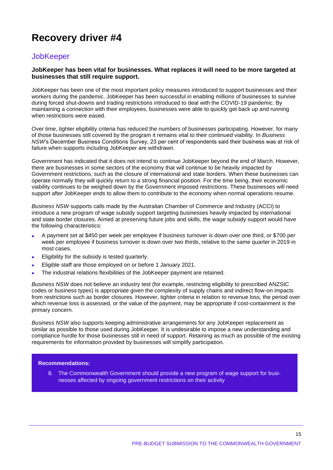### **JobKeeper**

#### **JobKeeper has been vital for businesses. What replaces it will need to be more targeted at businesses that still require support.**

JobKeeper has been one of the most important policy measures introduced to support businesses and their workers during the pandemic. JobKeeper has been successful in enabling millions of businesses to survive during forced shut-downs and trading restrictions introduced to deal with the COVID-19 pandemic. By maintaining a connection with their employees, businesses were able to quickly get back up and running when restrictions were eased.

Over time, tighter eligibility criteria has reduced the numbers of businesses participating. However, for many of those businesses still covered by the program it remains vital to their continued viability. In *Business NSW*'s December Business Conditions Survey, 23 per cent of respondents said their business was at risk of failure when supports including JobKeeper are withdrawn.

Government has indicated that it does not intend to continue JobKeeper beyond the end of March. However, there are businesses in some sectors of the economy that will continue to be heavily impacted by Government restrictions, such as the closure of international and state borders. When these businesses can operate normally they will quickly return to a strong financial position. For the time being, their economic viability continues to be weighed down by the Government imposed restrictions. These businesses will need support after JobKeeper ends to allow them to contribute to the economy when normal operations resume.

*Business NSW* supports calls made by the Australian Chamber of Commerce and Industry (ACCI) to introduce a new program of wage subsidy support targeting businesses heavily impacted by international and state border closures. Aimed at preserving future jobs and skills, the wage subsidy support would have the following characteristics:

- A payment set at \$450 per week per employee if business turnover is down over one third, or \$700 per week per employee if business turnover is down over two thirds, relative to the same quarter in 2019 in most cases.
- Eligibility for the subsidy is tested quarterly.
- Eligible staff are those employed on or before 1 January 2021.
- The industrial relations flexibilities of the JobKeeper payment are retained.

*Business NSW* does not believe an industry test (for example, restricting eligibility to prescribed ANZSIC codes or business types) is appropriate given the complexity of supply chains and indirect flow-on impacts from restrictions such as border closures. However, tighter criteria in relation to revenue loss, the period over which revenue loss is assessed, or the value of the payment, may be appropriate if cost-containment is the primary concern.

*Business NSW* also supports keeping administrative arrangements for any JobKeeper replacement as similar as possible to those used during JobKeeper. It is undesirable to impose a new understanding and compliance hurdle for those businesses still in need of support. Retaining as much as possible of the existing requirements for information provided by businesses will simplify participation.

#### **Recommendations:**

8. The Commonwealth Government should provide a new program of wage support for businesses affected by ongoing government restrictions on their activity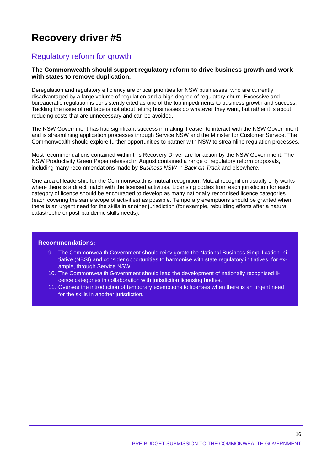### Regulatory reform for growth

#### **The Commonwealth should support regulatory reform to drive business growth and work with states to remove duplication.**

Deregulation and regulatory efficiency are critical priorities for NSW businesses, who are currently disadvantaged by a large volume of regulation and a high degree of regulatory churn. Excessive and bureaucratic regulation is consistently cited as one of the top impediments to business growth and success. Tackling the issue of red tape is not about letting businesses do whatever they want, but rather it is about reducing costs that are unnecessary and can be avoided.

The NSW Government has had significant success in making it easier to interact with the NSW Government and is streamlining application processes through Service NSW and the Minister for Customer Service. The Commonwealth should explore further opportunities to partner with NSW to streamline regulation processes.

Most recommendations contained within this Recovery Driver are for action by the NSW Government. The NSW Productivity Green Paper released in August contained a range of regulatory reform proposals, including many recommendations made by *Business NSW* in *Back on Track* and elsewhere.

One area of leadership for the Commonwealth is mutual recognition. Mutual recognition usually only works where there is a direct match with the licensed activities. Licensing bodies from each jurisdiction for each category of licence should be encouraged to develop as many nationally recognised licence categories (each covering the same scope of activities) as possible. Temporary exemptions should be granted when there is an urgent need for the skills in another jurisdiction (for example, rebuilding efforts after a natural catastrophe or post-pandemic skills needs).

- 9. The Commonwealth Government should reinvigorate the National Business Simplification Initiative (NBSI) and consider opportunities to harmonise with state regulatory initiatives, for example, through Service NSW.
- 10. The Commonwealth Government should lead the development of nationally recognised licence categories in collaboration with jurisdiction licensing bodies.
- 11. Oversee the introduction of temporary exemptions to licenses when there is an urgent need for the skills in another jurisdiction.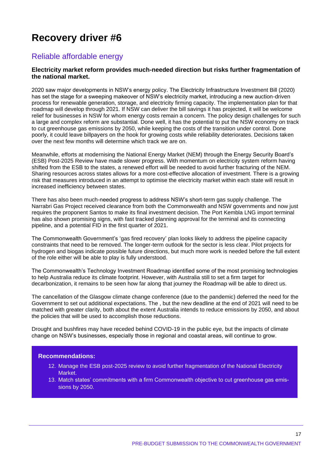### Reliable affordable energy

#### **Electricity market reform provides much-needed direction but risks further fragmentation of the national market.**

2020 saw major developments in NSW's energy policy. The Electricity Infrastructure Investment Bill (2020) has set the stage for a sweeping makeover of NSW's electricity market, introducing a new auction-driven process for renewable generation, storage, and electricity firming capacity. The implementation plan for that roadmap will develop through 2021. If NSW can deliver the bill savings it has projected, it will be welcome relief for businesses in NSW for whom energy costs remain a concern. The policy design challenges for such a large and complex reform are substantial. Done well, it has the potential to put the NSW economy on track to cut greenhouse gas emissions by 2050, while keeping the costs of the transition under control. Done poorly, it could leave billpayers on the hook for growing costs while reliability deteriorates. Decisions taken over the next few months will determine which track we are on.

Meanwhile, efforts at modernising the National Energy Market (NEM) through the Energy Security Board's (ESB) Post-2025 Review have made slower progress. With momentum on electricity system reform having shifted from the ESB to the states, a renewed effort will be needed to avoid further fracturing of the NEM. Sharing resources across states allows for a more cost-effective allocation of investment. There is a growing risk that measures introduced in an attempt to optimise the electricity market within each state will result in increased inefficiency between states.

There has also been much-needed progress to address NSW's short-term gas supply challenge. The Narrabri Gas Project received clearance from both the Commonwealth and NSW governments and now just requires the proponent Santos to make its final investment decision. The Port Kembla LNG import terminal has also shown promising signs, with fast tracked planning approval for the terminal and its connecting pipeline, and a potential FID in the first quarter of 2021.

The Commonwealth Government's 'gas fired recovery' plan looks likely to address the pipeline capacity constraints that need to be removed. The longer-term outlook for the sector is less clear. Pilot projects for hydrogen and biogas indicate possible future directions, but much more work is needed before the full extent of the role either will be able to play is fully understood.

The Commonwealth's Technology Investment Roadmap identified some of the most promising technologies to help Australia reduce its climate footprint. However, with Australia still to set a firm target for decarbonization, it remains to be seen how far along that journey the Roadmap will be able to direct us.

The cancellation of the Glasgow climate change conference (due to the pandemic) deferred the need for the Government to set out additional expectations. The , but the new deadline at the end of 2021 will need to be matched with greater clarity, both about the extent Australia intends to reduce emissions by 2050, and about the policies that will be used to accomplish those reductions.

Drought and bushfires may have receded behind COVID-19 in the public eye, but the impacts of climate change on NSW's businesses, especially those in regional and coastal areas, will continue to grow.

- 12. Manage the ESB post-2025 review to avoid further fragmentation of the National Electricity Market.
- 13. Match states' commitments with a firm Commonwealth objective to cut greenhouse gas emissions by 2050.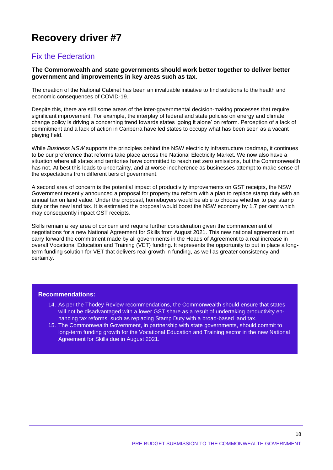### Fix the Federation

#### **The Commonwealth and state governments should work better together to deliver better government and improvements in key areas such as tax.**

The creation of the National Cabinet has been an invaluable initiative to find solutions to the health and economic consequences of COVID-19.

Despite this, there are still some areas of the inter-governmental decision-making processes that require significant improvement. For example, the interplay of federal and state policies on energy and climate change policy is driving a concerning trend towards states 'going it alone' on reform. Perception of a lack of commitment and a lack of action in Canberra have led states to occupy what has been seen as a vacant playing field.

While *Business NSW* supports the principles behind the NSW electricity infrastructure roadmap, it continues to be our preference that reforms take place across the National Electricity Market. We now also have a situation where all states and territories have committed to reach net zero emissions, but the Commonwealth has not. At best this leads to uncertainty, and at worse incoherence as businesses attempt to make sense of the expectations from different tiers of government.

A second area of concern is the potential impact of productivity improvements on GST receipts, the NSW Government recently announced a proposal for property tax reform with a plan to replace stamp duty with an annual tax on land value. Under the proposal, homebuyers would be able to choose whether to pay stamp duty or the new land tax. It is estimated the proposal would boost the NSW economy by 1.7 per cent which may consequently impact GST receipts.

Skills remain a key area of concern and require further consideration given the commencement of negotiations for a new National Agreement for Skills from August 2021. This new national agreement must carry forward the commitment made by all governments in the Heads of Agreement to a real increase in overall Vocational Education and Training (VET) funding. It represents the opportunity to put in place a longterm funding solution for VET that delivers real growth in funding, as well as greater consistency and certainty.

- 14. As per the Thodey Review recommendations, the Commonwealth should ensure that states will not be disadvantaged with a lower GST share as a result of undertaking productivity enhancing tax reforms, such as replacing Stamp Duty with a broad-based land tax.
- 15. The Commonwealth Government, in partnership with state governments, should commit to long-term funding growth for the Vocational Education and Training sector in the new National Agreement for Skills due in August 2021.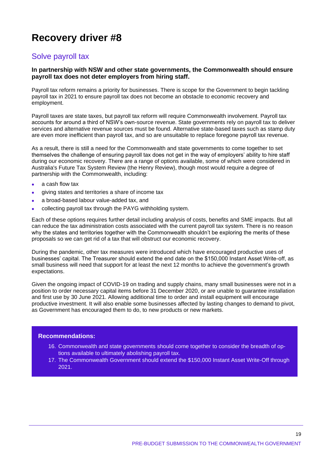### Solve payroll tax

#### **In partnership with NSW and other state governments, the Commonwealth should ensure payroll tax does not deter employers from hiring staff.**

Payroll tax reform remains a priority for businesses. There is scope for the Government to begin tackling payroll tax in 2021 to ensure payroll tax does not become an obstacle to economic recovery and employment.

Payroll taxes are state taxes, but payroll tax reform will require Commonwealth involvement. Payroll tax accounts for around a third of NSW's own-source revenue. State governments rely on payroll tax to deliver services and alternative revenue sources must be found. Alternative state-based taxes such as stamp duty are even more inefficient than payroll tax, and so are unsuitable to replace foregone payroll tax revenue.

As a result, there is still a need for the Commonwealth and state governments to come together to set themselves the challenge of ensuring payroll tax does not get in the way of employers' ability to hire staff during our economic recovery. There are a range of options available, some of which were considered in Australia's Future Tax System Review (the Henry Review), though most would require a degree of partnership with the Commonwealth, including:

- a cash flow tax
- giving states and territories a share of income tax
- a broad-based labour value-added tax, and
- collecting payroll tax through the PAYG withholding system.

Each of these options requires further detail including analysis of costs, benefits and SME impacts. But all can reduce the tax administration costs associated with the current payroll tax system. There is no reason why the states and territories together with the Commonwealth shouldn't be exploring the merits of these proposals so we can get rid of a tax that will obstruct our economic recovery.

During the pandemic, other tax measures were introduced which have encouraged productive uses of businesses' capital. The Treasurer should extend the end date on the \$150,000 Instant Asset Write-off, as small business will need that support for at least the next 12 months to achieve the government's growth expectations.

Given the ongoing impact of COVID-19 on trading and supply chains, many small businesses were not in a position to order necessary capital items before 31 December 2020, or are unable to guarantee installation and first use by 30 June 2021. Allowing additional time to order and install equipment will encourage productive investment. It will also enable some businesses affected by lasting changes to demand to pivot, as Government has encouraged them to do, to new products or new markets.

- 16. Commonwealth and state governments should come together to consider the breadth of options available to ultimately abolishing payroll tax.
- 17. The Commonwealth Government should extend the \$150,000 Instant Asset Write-Off through 2021.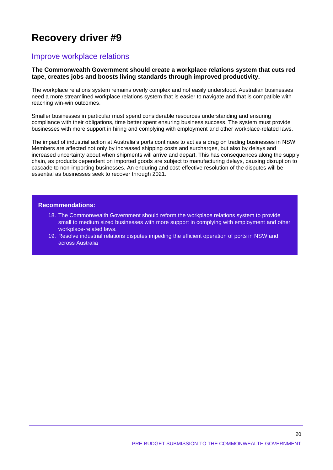### Improve workplace relations

#### **The Commonwealth Government should create a workplace relations system that cuts red tape, creates jobs and boosts living standards through improved productivity.**

The workplace relations system remains overly complex and not easily understood. Australian businesses need a more streamlined workplace relations system that is easier to navigate and that is compatible with reaching win-win outcomes.

Smaller businesses in particular must spend considerable resources understanding and ensuring compliance with their obligations, time better spent ensuring business success. The system must provide businesses with more support in hiring and complying with employment and other workplace-related laws.

The impact of industrial action at Australia's ports continues to act as a drag on trading businesses in NSW. Members are affected not only by increased shipping costs and surcharges, but also by delays and increased uncertainty about when shipments will arrive and depart. This has consequences along the supply chain, as products dependent on imported goods are subject to manufacturing delays, causing disruption to cascade to non-importing businesses. An enduring and cost-effective resolution of the disputes will be essential as businesses seek to recover through 2021.

#### **Recommendations:**

- 18. The Commonwealth Government should reform the workplace relations system to provide small to medium sized businesses with more support in complying with employment and other workplace-related laws.
- 19. Resolve industrial relations disputes impeding the efficient operation of ports in NSW and across Australia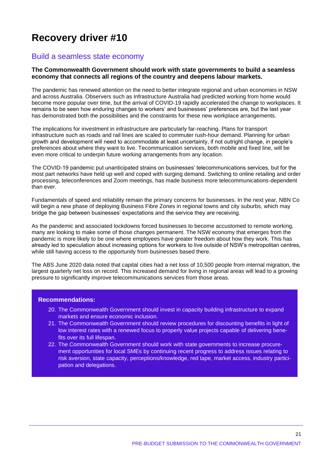### Build a seamless state economy

#### **The Commonwealth Government should work with state governments to build a seamless economy that connects all regions of the country and deepens labour markets.**

The pandemic has renewed attention on the need to better integrate regional and urban economies in NSW and across Australia. Observers such as Infrastructure Australia had predicted working from home would become more popular over time, but the arrival of COVID-19 rapidly accelerated the change to workplaces. It remains to be seen how enduring changes to workers' and businesses' preferences are, but the last year has demonstrated both the possibilities and the constraints for these new workplace arrangements.

The implications for investment in infrastructure are particularly far-reaching. Plans for transport infrastructure such as roads and rail lines are scaled to commuter rush-hour demand. Planning for urban growth and development will need to accommodate at least uncertainty, if not outright change, in people's preferences about where they want to live. Tecommunication services, both mobile and fixed line, will be even more critical to underpin future working arrangements from any location.

The COVID-19 pandemic put unanticipated strains on businesses' telecommunications services, but for the most part networks have held up well and coped with surging demand. Switching to online retailing and order processing, teleconferences and Zoom meetings, has made business more telecommunications-dependent than ever.

Fundamentals of speed and reliability remain the primary concerns for businesses. In the next year, NBN Co will begin a new phase of deploying Business Fibre Zones in regional towns and city suburbs, which may bridge the gap between businesses' expectations and the service they are receiving.

As the pandemic and associated lockdowns forced businesses to become accustomed to remote working, many are looking to make some of those changes permanent. The NSW economy that emerges from the pandemic is more likely to be one where employees have greater freedom about how they work. This has already led to speculation about increasing options for workers to live outside of NSW's metropolitan centres, while still having access to the opportunity from businesses based there.

The ABS June 2020 data noted that capital cities had a net loss of 10,500 people from internal migration, the largest quarterly net loss on record. This increased demand for living in regional areas will lead to a growing pressure to significantly improve telecommunications services from those areas.

- 20. The Commonwealth Government should invest in capacity building infrastructure to expand markets and ensure economic inclusion.
- 21. The Commonwealth Government should review procedures for discounting benefits in light of low interest rates with a renewed focus to properly value projects capable of delivering benefits over its full lifespan.
- 22. The Commonwealth Government should work with state governments to increase procurement opportunities for local SMEs by continuing recent progress to address issues relating to risk aversion, state capacity, perceptions/knowledge, red tape, market access, industry participation and delegations.